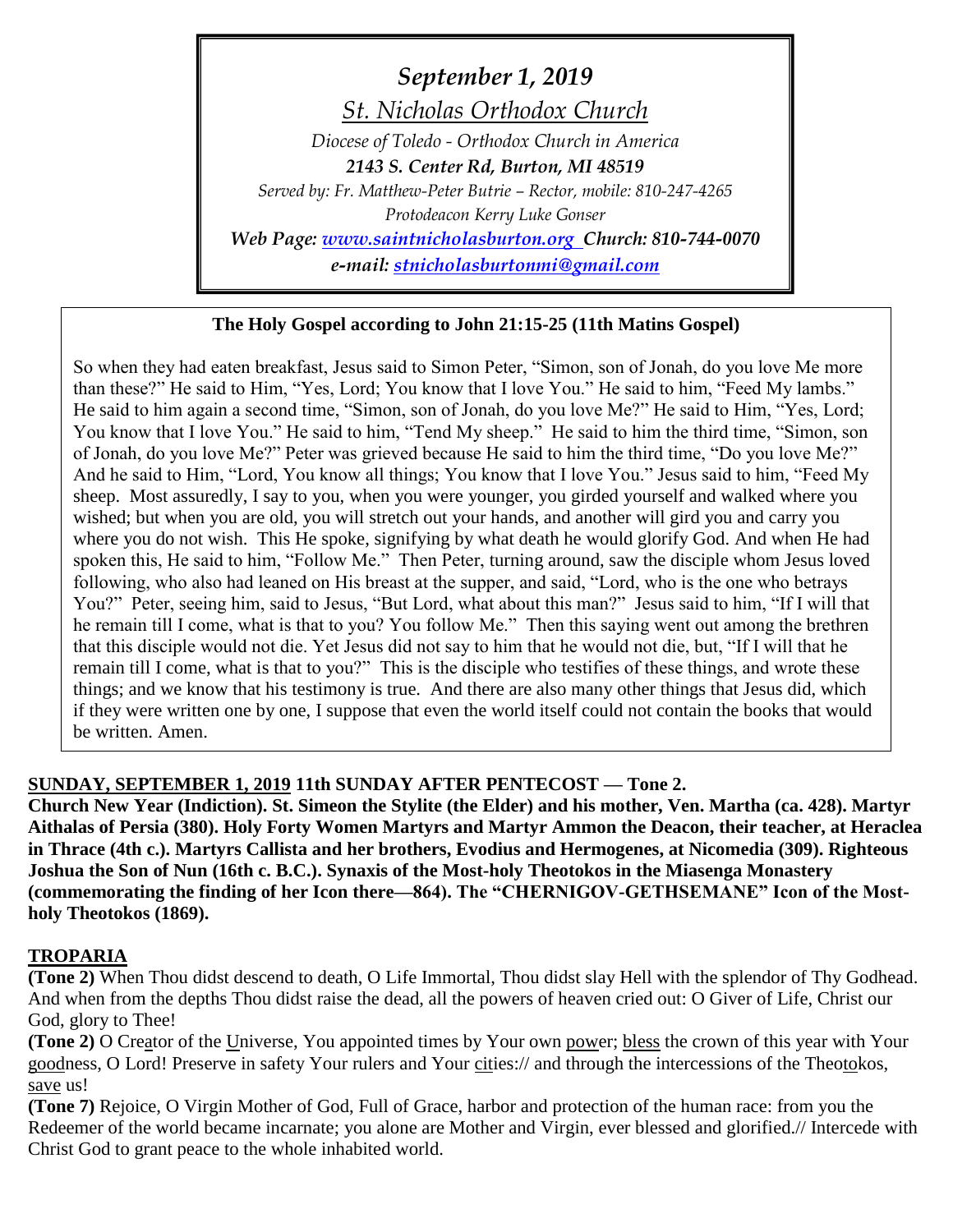*September 1, 2019 St. Nicholas Orthodox Church Diocese of Toledo - Orthodox Church in America 2143 S. Center Rd, Burton, MI 48519 Served by: Fr. Matthew-Peter Butrie – Rector, mobile: 810-247-4265 Protodeacon Kerry Luke Gonser Web Page: [www.saintnicholasburton.org](http://www.saintnicholasburton.org/) Church: 810-744-0070 e-mail: [stnicholasburtonmi@gmail.com](mailto:stnicholasburtonmi@gmail.com)*

### **The Holy Gospel according to John 21:15-25 (11th Matins Gospel)**

So when they had eaten breakfast, Jesus said to Simon Peter, "Simon, son of Jonah, do you love Me more than these?" He said to Him, "Yes, Lord; You know that I love You." He said to him, "Feed My lambs." He said to him again a second time, "Simon, son of Jonah, do you love Me?" He said to Him, "Yes, Lord; You know that I love You." He said to him, "Tend My sheep." He said to him the third time, "Simon, son of Jonah, do you love Me?" Peter was grieved because He said to him the third time, "Do you love Me?" And he said to Him, "Lord, You know all things; You know that I love You." Jesus said to him, "Feed My sheep. Most assuredly, I say to you, when you were younger, you girded yourself and walked where you wished; but when you are old, you will stretch out your hands, and another will gird you and carry you where you do not wish. This He spoke, signifying by what death he would glorify God. And when He had spoken this, He said to him, "Follow Me." Then Peter, turning around, saw the disciple whom Jesus loved following, who also had leaned on His breast at the supper, and said, "Lord, who is the one who betrays You?" Peter, seeing him, said to Jesus, "But Lord, what about this man?" Jesus said to him, "If I will that he remain till I come, what is that to you? You follow Me." Then this saying went out among the brethren that this disciple would not die. Yet Jesus did not say to him that he would not die, but, "If I will that he remain till I come, what is that to you?" This is the disciple who testifies of these things, and wrote these things; and we know that his testimony is true. And there are also many other things that Jesus did, which if they were written one by one, I suppose that even the world itself could not contain the books that would be written. Amen.

### **SUNDAY, SEPTEMBER 1, 2019 11th SUNDAY AFTER PENTECOST — Tone 2.**

**Church New Year (Indiction). St. Simeon the Stylite (the Elder) and his mother, Ven. Martha (ca. 428). Martyr Aithalas of Persia (380). Holy Forty Women Martyrs and Martyr Ammon the Deacon, their teacher, at Heraclea in Thrace (4th c.). Martyrs Callista and her brothers, Evodius and Hermogenes, at Nicomedia (309). Righteous Joshua the Son of Nun (16th c. B.C.). Synaxis of the Most-holy Theotokos in the Miasenga Monastery (commemorating the finding of her Icon there—864). The "CHERNIGOV-GETHSEMANE" Icon of the Mostholy Theotokos (1869).**

#### **TROPARIA**

**(Tone 2)** When Thou didst descend to death, O Life Immortal, Thou didst slay Hell with the splendor of Thy Godhead. And when from the depths Thou didst raise the dead, all the powers of heaven cried out: O Giver of Life, Christ our God, glory to Thee!

**(Tone 2)** O Creator of the Universe, You appointed times by Your own power; bless the crown of this year with Your goodness, O Lord! Preserve in safety Your rulers and Your cities:// and through the intercessions of the Theotokos, save us!

**(Tone 7)** Rejoice, O Virgin Mother of God, Full of Grace, harbor and protection of the human race: from you the Redeemer of the world became incarnate; you alone are Mother and Virgin, ever blessed and glorified.// Intercede with Christ God to grant peace to the whole inhabited world.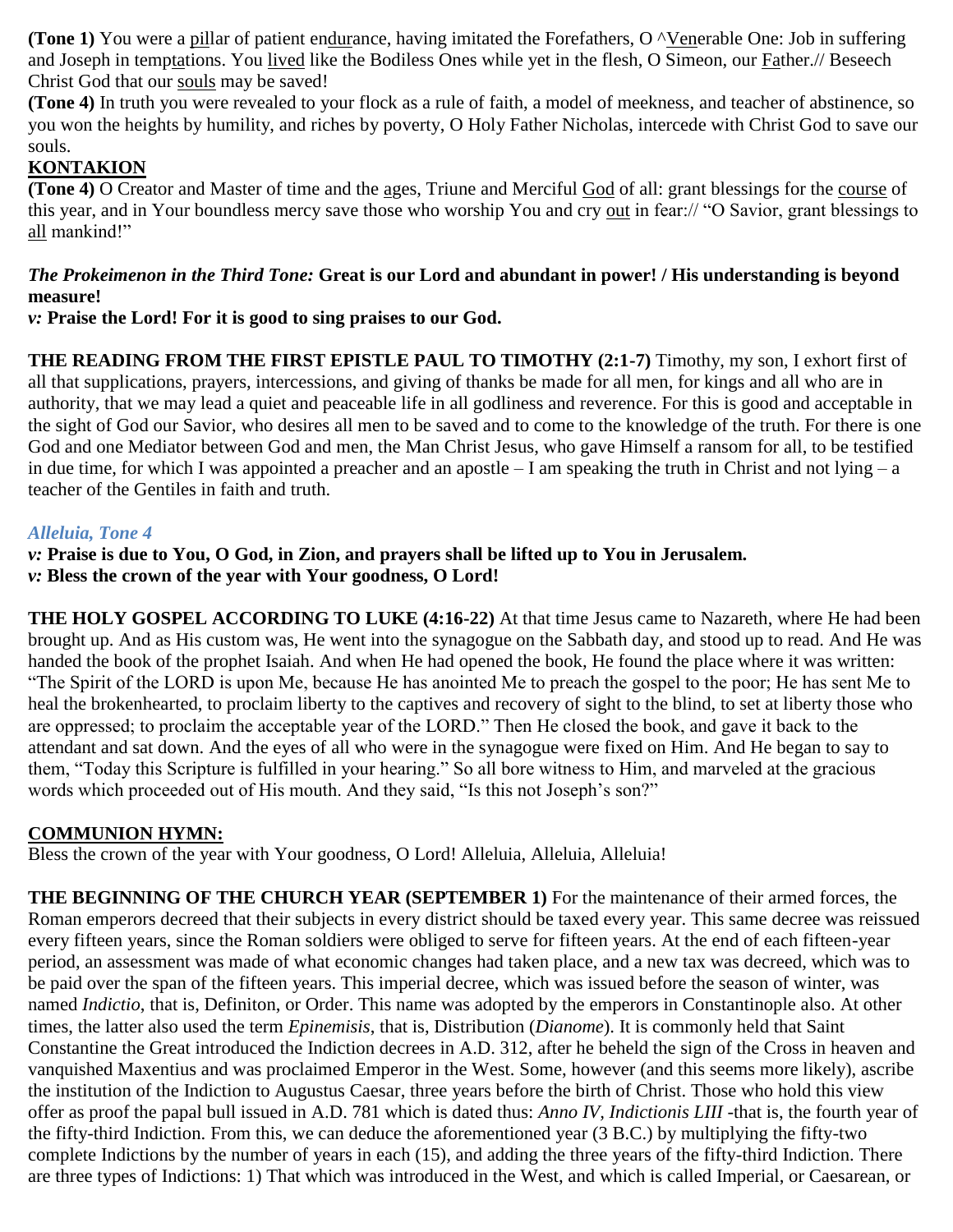**(Tone 1)** You were a pillar of patient endurance, having imitated the Forefathers, O  $\land$ Venerable One: Job in suffering and Joseph in temptations. You lived like the Bodiless Ones while yet in the flesh, O Simeon, our Father.// Beseech Christ God that our souls may be saved!

**(Tone 4)** In truth you were revealed to your flock as a rule of faith, a model of meekness, and teacher of abstinence, so you won the heights by humility, and riches by poverty, O Holy Father Nicholas, intercede with Christ God to save our souls.

## **KONTAKION**

**(Tone 4)** O Creator and Master of time and the ages, Triune and Merciful God of all: grant blessings for the course of this year, and in Your boundless mercy save those who worship You and cry out in fear:// "O Savior, grant blessings to all mankind!"

### *The Prokeimenon in the Third Tone:* **Great is our Lord and abundant in power! / His understanding is beyond measure!**

*v:* **Praise the Lord! For it is good to sing praises to our God.**

**THE READING FROM THE FIRST EPISTLE PAUL TO TIMOTHY (2:1-7)** Timothy, my son, I exhort first of all that supplications, prayers, intercessions, and giving of thanks be made for all men, for kings and all who are in authority, that we may lead a quiet and peaceable life in all godliness and reverence. For this is good and acceptable in the sight of God our Savior, who desires all men to be saved and to come to the knowledge of the truth. For there is one God and one Mediator between God and men, the Man Christ Jesus, who gave Himself a ransom for all, to be testified in due time, for which I was appointed a preacher and an apostle  $-I$  am speaking the truth in Christ and not lying  $-a$ teacher of the Gentiles in faith and truth.

### *Alleluia, Tone 4*

*v:* **Praise is due to You, O God, in Zion, and prayers shall be lifted up to You in Jerusalem.** *v:* **Bless the crown of the year with Your goodness, O Lord!**

**THE HOLY GOSPEL ACCORDING TO LUKE (4:16-22)** At that time Jesus came to Nazareth, where He had been brought up. And as His custom was, He went into the synagogue on the Sabbath day, and stood up to read. And He was handed the book of the prophet Isaiah. And when He had opened the book, He found the place where it was written: "The Spirit of the LORD is upon Me, because He has anointed Me to preach the gospel to the poor; He has sent Me to heal the brokenhearted, to proclaim liberty to the captives and recovery of sight to the blind, to set at liberty those who are oppressed; to proclaim the acceptable year of the LORD." Then He closed the book, and gave it back to the attendant and sat down. And the eyes of all who were in the synagogue were fixed on Him. And He began to say to them, "Today this Scripture is fulfilled in your hearing." So all bore witness to Him, and marveled at the gracious words which proceeded out of His mouth. And they said, "Is this not Joseph's son?"

### **COMMUNION HYMN:**

Bless the crown of the year with Your goodness, O Lord! Alleluia, Alleluia, Alleluia!

**THE BEGINNING OF THE CHURCH YEAR (SEPTEMBER 1)** For the maintenance of their armed forces, the Roman emperors decreed that their subjects in every district should be taxed every year. This same decree was reissued every fifteen years, since the Roman soldiers were obliged to serve for fifteen years. At the end of each fifteen-year period, an assessment was made of what economic changes had taken place, and a new tax was decreed, which was to be paid over the span of the fifteen years. This imperial decree, which was issued before the season of winter, was named *Indictio*, that is, Definiton, or Order. This name was adopted by the emperors in Constantinople also. At other times, the latter also used the term *Epinemisis*, that is, Distribution (*Dianome*). It is commonly held that Saint Constantine the Great introduced the Indiction decrees in A.D. 312, after he beheld the sign of the Cross in heaven and vanquished Maxentius and was proclaimed Emperor in the West. Some, however (and this seems more likely), ascribe the institution of the Indiction to Augustus Caesar, three years before the birth of Christ. Those who hold this view offer as proof the papal bull issued in A.D. 781 which is dated thus: *Anno IV, Indictionis LIII* -that is, the fourth year of the fifty-third Indiction. From this, we can deduce the aforementioned year (3 B.C.) by multiplying the fifty-two complete Indictions by the number of years in each (15), and adding the three years of the fifty-third Indiction. There are three types of Indictions: 1) That which was introduced in the West, and which is called Imperial, or Caesarean, or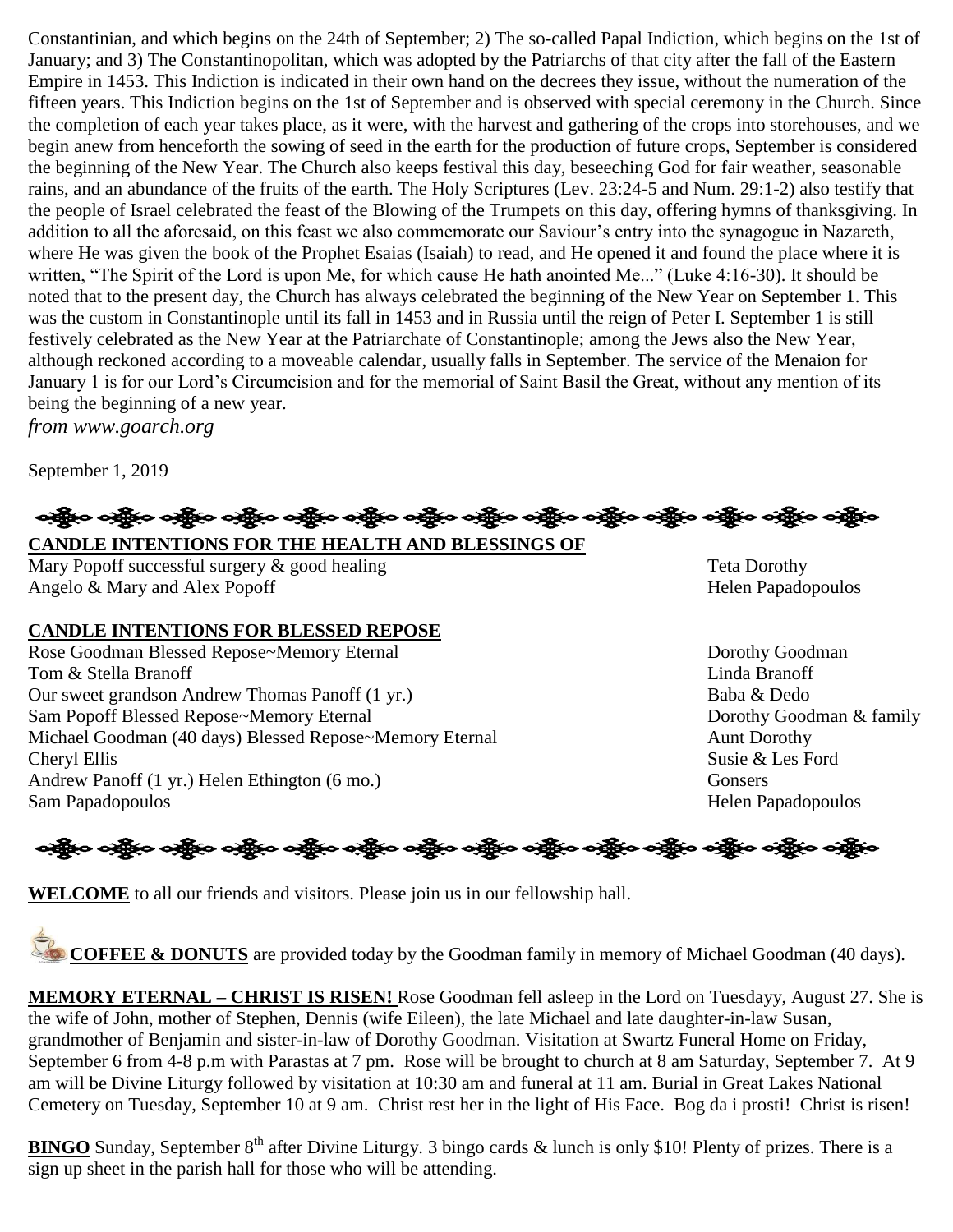Constantinian, and which begins on the 24th of September; 2) The so-called Papal Indiction, which begins on the 1st of January; and 3) The Constantinopolitan, which was adopted by the Patriarchs of that city after the fall of the Eastern Empire in 1453. This Indiction is indicated in their own hand on the decrees they issue, without the numeration of the fifteen years. This Indiction begins on the 1st of September and is observed with special ceremony in the Church. Since the completion of each year takes place, as it were, with the harvest and gathering of the crops into storehouses, and we begin anew from henceforth the sowing of seed in the earth for the production of future crops, September is considered the beginning of the New Year. The Church also keeps festival this day, beseeching God for fair weather, seasonable rains, and an abundance of the fruits of the earth. The Holy Scriptures (Lev. 23:24-5 and Num. 29:1-2) also testify that the people of Israel celebrated the feast of the Blowing of the Trumpets on this day, offering hymns of thanksgiving. In addition to all the aforesaid, on this feast we also commemorate our Saviour's entry into the synagogue in Nazareth, where He was given the book of the Prophet Esaias (Isaiah) to read, and He opened it and found the place where it is written, "The Spirit of the Lord is upon Me, for which cause He hath anointed Me..." (Luke 4:16-30). It should be noted that to the present day, the Church has always celebrated the beginning of the New Year on September 1. This was the custom in Constantinople until its fall in 1453 and in Russia until the reign of Peter I. September 1 is still festively celebrated as the New Year at the Patriarchate of Constantinople; among the Jews also the New Year, although reckoned according to a moveable calendar, usually falls in September. The service of the Menaion for January 1 is for our Lord's Circumcision and for the memorial of Saint Basil the Great, without any mention of its being the beginning of a new year.

*from www.goarch.org*

September 1, 2019

# ခရွို့လ ခရွို့လ ခရွို့လ ခရွို့လ ခရွို့လ ခရွို့လ ခရွို့လ ခရွို့လ ခရွို့လ ခရွို့လ ခရွို့လ ခရွို့လ ခရွို့လ ခရွို့လ **CANDLE INTENTIONS FOR THE HEALTH AND BLESSINGS OF**

Mary Popoff successful surgery & good healing Teta Dorothy Angelo & Mary and Alex Popoff Helen Papadopoulos

### **CANDLE INTENTIONS FOR BLESSED REPOSE**

Rose Goodman Blessed Repose~Memory Eternal Dorothy Goodman Tom & Stella Branoff **Linda Branoff** Linda Branoff **Linda Branoff** Our sweet grandson Andrew Thomas Panoff (1 yr.) Baba & Dedo Sam Popoff Blessed Repose~Memory Eternal Dorothy Goodman & family Michael Goodman (40 days) Blessed Repose~Memory Eternal Aunt Dorothy Cheryl Ellis Susie & Les Ford Andrew Panoff (1 yr.) Helen Ethington (6 mo.) Gonsers Sam Papadopoulos Helen Papadopoulos

န္ကြိုးေခါင္ဆိုေခါင္ဆိုေခါင္ဆိုေရာင္းေခါင္းေခါင္ဆိုေခါင္ဆိုေနတဲ့ ေခါင္းေခါင္းေခါင္ဆိုေခါင္ဆိုေ

**WELCOME** to all our friends and visitors. Please join us in our fellowship hall.

**COFFEE & DONUTS** are provided today by the Goodman family in memory of Michael Goodman (40 days).

**MEMORY ETERNAL – CHRIST IS RISEN!** Rose Goodman fell asleep in the Lord on Tuesdayy, August 27. She is the wife of John, mother of Stephen, Dennis (wife Eileen), the late Michael and late daughter-in-law Susan, grandmother of Benjamin and sister-in-law of Dorothy Goodman. Visitation at Swartz Funeral Home on Friday, September 6 from 4-8 p.m with Parastas at 7 pm. Rose will be brought to church at 8 am Saturday, September 7. At 9 am will be Divine Liturgy followed by visitation at 10:30 am and funeral at 11 am. Burial in Great Lakes National Cemetery on Tuesday, September 10 at 9 am. Christ rest her in the light of His Face. Bog da i prosti! Christ is risen!

**BINGO** Sunday, September  $8<sup>th</sup>$  after Divine Liturgy. 3 bingo cards & lunch is only \$10! Plenty of prizes. There is a sign up sheet in the parish hall for those who will be attending.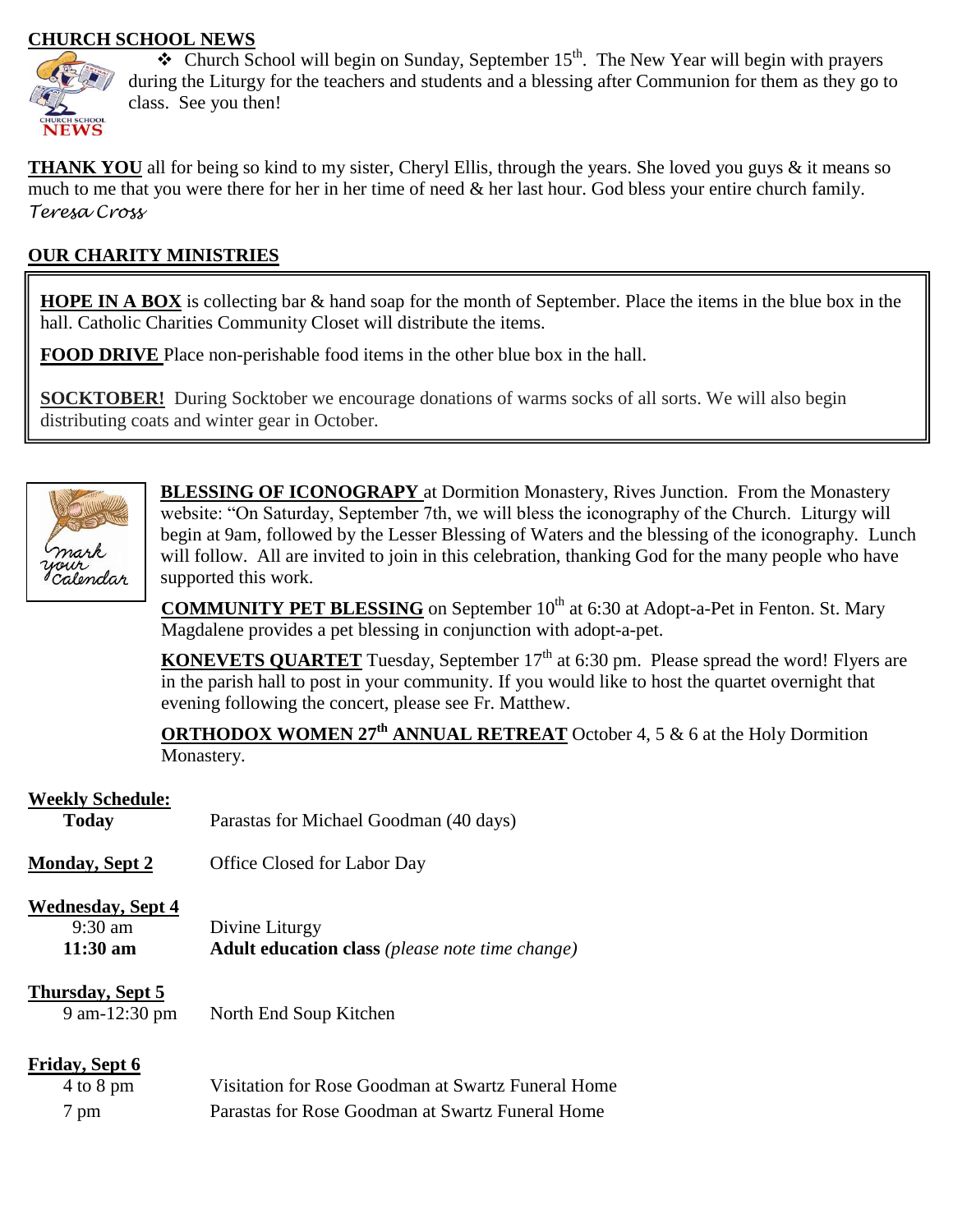### **CHURCH SCHOOL NEWS**



 $\triangle$  Church School will begin on Sunday, September 15<sup>th</sup>. The New Year will begin with prayers during the Liturgy for the teachers and students and a blessing after Communion for them as they go to class. See you then!

**THANK YOU** all for being so kind to my sister, Cheryl Ellis, through the years. She loved you guys & it means so much to me that you were there for her in her time of need  $\&$  her last hour. God bless your entire church family. *Teresa Cross*

## **OUR CHARITY MINISTRIES**

**HOPE IN A BOX** is collecting bar & hand soap for the month of September. Place the items in the blue box in the hall. Catholic Charities Community Closet will distribute the items.

**FOOD DRIVE** Place non-perishable food items in the other blue box in the hall.

**SOCKTOBER!** During Socktober we encourage donations of warms socks of all sorts. We will also begin distributing coats and winter gear in October.



**BLESSING OF ICONOGRAPY** at Dormition Monastery, Rives Junction. From the Monastery website: "On Saturday, September 7th, we will bless the iconography of the Church. Liturgy will begin at 9am, followed by the Lesser Blessing of Waters and the blessing of the iconography. Lunch will follow. All are invited to join in this celebration, thanking God for the many people who have supported this work.

**COMMUNITY PET BLESSING** on September 10<sup>th</sup> at 6:30 at Adopt-a-Pet in Fenton. St. Mary Magdalene provides a pet blessing in conjunction with adopt-a-pet.

**KONEVETS QUARTET** Tuesday, September 17<sup>th</sup> at 6:30 pm. Please spread the word! Flyers are in the parish hall to post in your community. If you would like to host the quartet overnight that evening following the concert, please see Fr. Matthew.

**ORTHODOX WOMEN 27th ANNUAL RETREAT** October 4, 5 & 6 at the Holy Dormition Monastery.

### **Weekly Schedule:**

| <b>Today</b>                                                        | Parastas for Michael Goodman (40 days)                                   |  |
|---------------------------------------------------------------------|--------------------------------------------------------------------------|--|
| <b>Monday, Sept 2</b>                                               | <b>Office Closed for Labor Day</b>                                       |  |
| <b>Wednesday, Sept 4</b><br>$9:30 \text{ am}$<br>$11:30 \text{ am}$ | Divine Liturgy<br><b>Adult education class</b> (please note time change) |  |
| Thursday, Sept 5                                                    |                                                                          |  |

# 9 am-12:30 pm North End Soup Kitchen

| <b>Friday, Sept 6</b> |                                                    |
|-----------------------|----------------------------------------------------|
| $4$ to $8$ pm         | Visitation for Rose Goodman at Swartz Funeral Home |
| 7 pm                  | Parastas for Rose Goodman at Swartz Funeral Home   |